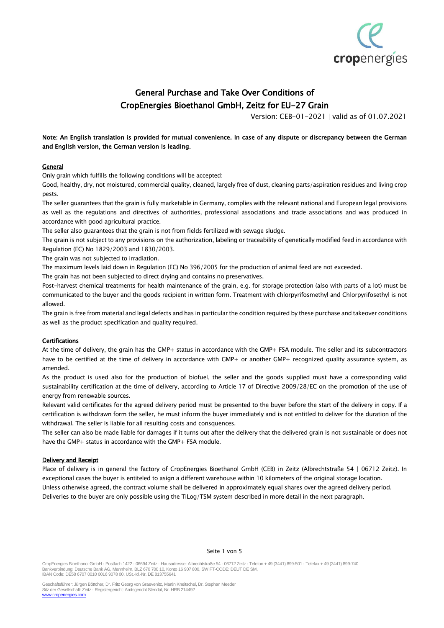

# General Purchase and Take Over Conditions of CropEnergies Bioethanol GmbH, Zeitz for EU-27 Grain

Version: CEB-01-2021 | valid as of 01.07.2021

# Note: An English translation is provided for mutual convenience. In case of any dispute or discrepancy between the German and English version, the German version is leading.

## **General**

Only grain which fulfills the following conditions will be accepted:

Good, healthy, dry, not moistured, commercial quality, cleaned, largely free of dust, cleaning parts/aspiration residues and living crop pests.

The seller guarantees that the grain is fully marketable in Germany, complies with the relevant national and European legal provisions as well as the regulations and directives of authorities, professional associations and trade associations and was produced in accordance with good agricultural practice.

The seller also guarantees that the grain is not from fields fertilized with sewage sludge.

The grain is not subject to any provisions on the authorization, labeling or traceability of genetically modified feed in accordance with Regulation (EC) No 1829/2003 and 1830/2003.

The grain was not subjected to irradiation.

The maximum levels laid down in Regulation (EC) No 396/2005 for the production of animal feed are not exceeded.

The grain has not been subjected to direct drying and contains no preservatives.

Post-harvest chemical treatments for health maintenance of the grain, e.g. for storage protection (also with parts of a lot) must be communicated to the buyer and the goods recipient in written form. Treatment with chlorpyrifosmethyl and Chlorpyrifosethyl is not allowed.

The grain is free from material and legal defects and has in particular the condition required by these purchase and takeover conditions as well as the product specification and quality required.

## Certifications

At the time of delivery, the grain has the GMP+ status in accordance with the GMP+ FSA module. The seller and its subcontractors have to be certified at the time of delivery in accordance with GMP+ or another GMP+ recognized quality assurance system, as amended.

As the product is used also for the production of biofuel, the seller and the goods supplied must have a corresponding valid sustainability certification at the time of delivery, according to Article 17 of Directive 2009/28/EC on the promotion of the use of energy from renewable sources.

Relevant valid certificates for the agreed delivery period must be presented to the buyer before the start of the delivery in copy. If a certification is withdrawn form the seller, he must inform the buyer immediately and is not entitled to deliver for the duration of the withdrawal. The seller is liable for all resulting costs and consquences.

The seller can also be made liable for damages if it turns out after the delivery that the delivered grain is not sustainable or does not have the GMP+ status in accordance with the GMP+ FSA module.

## Delivery and Receipt

Place of delivery is in general the factory of CropEnergies Bioethanol GmbH (CEB) in Zeitz (Albrechtstraße 54 | 06712 Zeitz). In exceptional cases the buyer is entiteled to asign a different warehouse within 10 kilometers of the original storage location. Unless otherwise agreed, the contract volume shall be delivered in approximately equal shares over the agreed delivery period. Deliveries to the buyer are only possible using the TiLog/TSM system described in more detail in the next paragraph.

#### Seite 1 von 5

CropEnergies Bioethanol GmbH · Postfach 1422 · 06694 Zeitz · Hausadresse: Albrechtstraße 54 · 06712 Zeitz · Telefon + 49 (3441) 899-501 · Telefax + 49 (3441) 899-740 Bankverbindung: Deutsche Bank AG, Mannheim, BLZ 670 700 10, Konto 16 907 800, SWIFT-CODE: DEUT DE SM, IBAN Code: DE58 6707 0010 0016 9078 00, USt.-Id.-Nr. DE 813755641

Geschäftsführer: Jürgen Böttcher, Dr. Fritz Georg von Graevenitz, Martin Kneitschel, Dr. Stephan Meeder Sitz der Gesellschaft: Zeitz · Registergericht: Amtsgericht Stendal, Nr. HRB 214492 w.cropenergies.com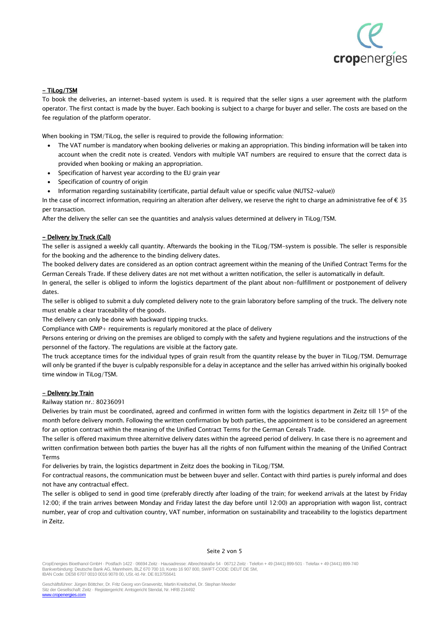

# - TiLog/TSM

To book the deliveries, an internet-based system is used. It is required that the seller signs a user agreement with the platform operator. The first contact is made by the buyer. Each booking is subject to a charge for buyer and seller. The costs are based on the fee regulation of the platform operator.

When booking in TSM/TiLog, the seller is required to provide the following information:

- The VAT number is mandatory when booking deliveries or making an appropriation. This binding information will be taken into account when the credit note is created. Vendors with multiple VAT numbers are required to ensure that the correct data is provided when booking or making an appropriation.
- Specification of harvest year according to the EU grain year
- Specification of country of origin
- Information regarding sustainability (certificate, partial default value or specific value (NUTS2-value))

In the case of incorrect information, requiring an alteration after delivery, we reserve the right to charge an administrative fee of  $\epsilon$  35 per transaction.

After the delivery the seller can see the quantities and analysis values determined at delivery in TiLog/TSM.

#### - Delivery by Truck (Call)

The seller is assigned a weekly call quantity. Afterwards the booking in the TiLog/TSM-system is possible. The seller is responsible for the booking and the adherence to the binding delivery dates.

The booked delivery dates are considered as an option contract agreement within the meaning of the Unified Contract Terms for the German Cereals Trade. If these delivery dates are not met without a written notification, the seller is automatically in default.

In general, the seller is obliged to inform the logistics department of the plant about non-fulfillment or postponement of delivery dates.

The seller is obliged to submit a duly completed delivery note to the grain laboratory before sampling of the truck. The delivery note must enable a clear traceability of the goods.

The delivery can only be done with backward tipping trucks.

Compliance with GMP+ requirements is regularly monitored at the place of delivery

Persons entering or driving on the premises are obliged to comply with the safety and hygiene regulations and the instructions of the personnel of the factory. The regulations are visible at the factory gate.

The truck acceptance times for the individual types of grain result from the quantity release by the buyer in TiLog/TSM. Demurrage will only be granted if the buyer is culpably responsible for a delay in acceptance and the seller has arrived within his originally booked time window in TiLog/TSM.

#### - Delivery by Train

Railway station nr.: 80236091

Deliveries by train must be coordinated, agreed and confirmed in written form with the logistics department in Zeitz till 15th of the month before delivery month. Following the written confirmation by both parties, the appointment is to be considered an agreement for an option contract within the meaning of the Unified Contract Terms for the German Cereals Trade.

The seller is offered maximum three alternitive delivery dates within the agreeed period of delivery. In case there is no agreement and written confirmation between both parties the buyer has all the rights of non fulfument within the meaning of the Unified Contract Terms

For deliveries by train, the logistics department in Zeitz does the booking in TiLog/TSM.

For contractual reasons, the communication must be between buyer and seller. Contact with third parties is purely informal and does not have any contractual effect.

The seller is obliged to send in good time (preferably directly after loading of the train; for weekend arrivals at the latest by Friday 12:00; if the train arrives between Monday and Friday latest the day before until 12:00) an appropriation with wagon list, contract number, year of crop and cultivation country, VAT number, information on sustainability and traceability to the logistics department in Zeitz.

#### Seite 2 von 5

CropEnergies Bioethanol GmbH · Postfach 1422 · 06694 Zeitz · Hausadresse: Albrechtstraße 54 · 06712 Zeitz · Telefon + 49 (3441) 899-501 · Telefax + 49 (3441) 899-740 Bankverbindung: Deutsche Bank AG, Mannheim, BLZ 670 700 10, Konto 16 907 800, SWIFT-CODE: DEUT DE SM, IBAN Code: DE58 6707 0010 0016 9078 00, USt.-Id.-Nr. DE 813755641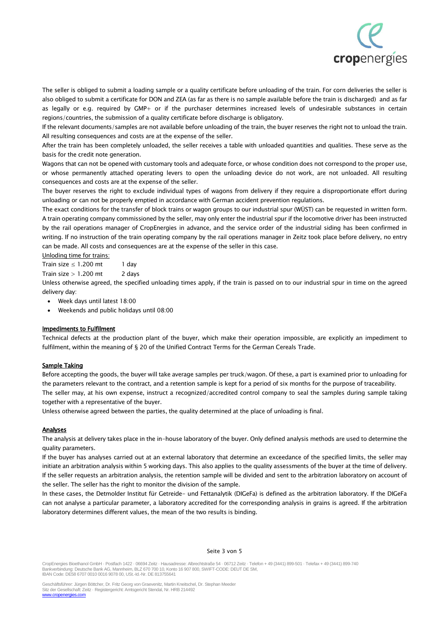

The seller is obliged to submit a loading sample or a quality certificate before unloading of the train. For corn deliveries the seller is also obliged to submit a certificate for DON and ZEA (as far as there is no sample available before the train is discharged) and as far as legally or e.g. required by GMP+ or if the purchaser determines increased levels of undesirable substances in certain regions/countries, the submission of a quality certificate before discharge is obligatory.

If the relevant documents/samples are not available before unloading of the train, the buyer reserves the right not to unload the train. All resulting consequences and costs are at the expense of the seller.

After the train has been completely unloaded, the seller receives a table with unloaded quantities and qualities. These serve as the basis for the credit note generation.

Wagons that can not be opened with customary tools and adequate force, or whose condition does not correspond to the proper use, or whose permanently attached operating levers to open the unloading device do not work, are not unloaded. All resulting consequences and costs are at the expense of the seller.

The buyer reserves the right to exclude individual types of wagons from delivery if they require a disproportionate effort during unloading or can not be properly emptied in accordance with German accident prevention regulations.

The exact conditions for the transfer of block trains or wagon groups to our industrial spur (WÜST) can be requested in written form. A train operating company commissioned by the seller, may only enter the industrial spur if the locomotive driver has been instructed by the rail operations manager of CropEnergies in advance, and the service order of the industrial siding has been confirmed in writing. If no instruction of the train operating company by the rail operations manager in Zeitz took place before delivery, no entry can be made. All costs and consequences are at the expense of the seller in this case.

#### Unloding time for trains:

Train size  $<$  1.200 mt 1 day Train size  $> 1.200$  mt 2 days

Unless otherwise agreed, the specified unloading times apply, if the train is passed on to our industrial spur in time on the agreed delivery day:

- Week days until latest 18:00
- Weekends and public holidays until 08:00

## Impediments to Fulfilment

Technical defects at the production plant of the buyer, which make their operation impossible, are explicitly an impediment to fulfilment, within the meaning of § 20 of the Unified Contract Terms for the German Cereals Trade.

## Sample Taking

Before accepting the goods, the buyer will take average samples per truck/wagon. Of these, a part is examined prior to unloading for the parameters relevant to the contract, and a retention sample is kept for a period of six months for the purpose of traceability. The seller may, at his own expense, instruct a recognized/accredited control company to seal the samples during sample taking together with a representative of the buyer.

Unless otherwise agreed between the parties, the quality determined at the place of unloading is final.

## **Analyses**

The analysis at delivery takes place in the in-house laboratory of the buyer. Only defined analysis methods are used to determine the quality parameters.

If the buyer has analyses carried out at an external laboratory that determine an exceedance of the specified limits, the seller may initiate an arbitration analysis within 5 working days. This also applies to the quality assessments of the buyer at the time of delivery. If the seller requests an arbitration analysis, the retention sample will be divided and sent to the arbitration laboratory on account of the seller. The seller has the right to monitor the division of the sample.

In these cases, the Detmolder Institut für Getreide- und Fettanalytik (DIGeFa) is defined as the arbitration laboratory. If the DIGeFa can not analyse a particular parameter, a laboratory accredited for the corresponding analysis in grains is agreed. If the arbitration laboratory determines different values, the mean of the two results is binding.

#### Seite 3 von 5

CropEnergies Bioethanol GmbH · Postfach 1422 · 06694 Zeitz · Hausadresse: Albrechtstraße 54 · 06712 Zeitz · Telefon + 49 (3441) 899-501 · Telefax + 49 (3441) 899-740 Bankverbindung: Deutsche Bank AG, Mannheim, BLZ 670 700 10, Konto 16 907 800, SWIFT-CODE: DEUT DE SM, IBAN Code: DE58 6707 0010 0016 9078 00, USt.-Id.-Nr. DE 813755641

Geschäftsführer: Jürgen Böttcher, Dr. Fritz Georg von Graevenitz, Martin Kneitschel, Dr. Stephan Meeder Sitz der Gesellschaft: Zeitz · Registergericht: Amtsgericht Stendal, Nr. HRB 214492 [www.cropenergies.com](http://www.cropenergies.com/)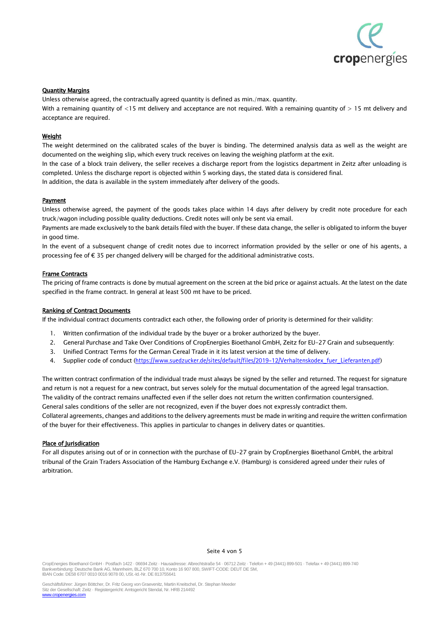

#### **Quantity Margins**

Unless otherwise agreed, the contractually agreed quantity is defined as min./max. quantity. With a remaining quantity of  $\lt 15$  mt delivery and acceptance are not required. With a remaining quantity of  $> 15$  mt delivery and acceptance are required.

#### **Weight**

The weight determined on the calibrated scales of the buyer is binding. The determined analysis data as well as the weight are documented on the weighing slip, which every truck receives on leaving the weighing platform at the exit.

In the case of a block train delivery, the seller receives a discharge report from the logistics department in Zeitz after unloading is completed. Unless the discharge report is objected within 5 working days, the stated data is considered final. In addition, the data is available in the system immediately after delivery of the goods.

#### Payment

Unless otherwise agreed, the payment of the goods takes place within 14 days after delivery by credit note procedure for each truck/wagon including possible quality deductions. Credit notes will only be sent via email.

Payments are made exclusively to the bank details filed with the buyer. If these data change, the seller is obligated to inform the buyer in good time.

In the event of a subsequent change of credit notes due to incorrect information provided by the seller or one of his agents, a processing fee of € 35 per changed delivery will be charged for the additional administrative costs.

#### Frame Contracts

The pricing of frame contracts is done by mutual agreement on the screen at the bid price or against actuals. At the latest on the date specified in the frame contract. In general at least 500 mt have to be priced.

#### Ranking of Contract Documents

If the individual contract documents contradict each other, the following order of priority is determined for their validity:

- 1. Written confirmation of the individual trade by the buyer or a broker authorized by the buyer.
- 2. General Purchase and Take Over Conditions of CropEnergies Bioethanol GmbH, Zeitz for EU-27 Grain and subsequently:
- 3. Unified Contract Terms for the German Cereal Trade in it its latest version at the time of delivery.
- 4. Supplier code of conduct (https://www.suedzucker.de/sites/default/files/2019-12/Verhaltenskodex\_fuer\_Lieferanten.pdf)

The written contract confirmation of the individual trade must always be signed by the seller and returned. The request for signature and return is not a request for a new contract, but serves solely for the mutual documentation of the agreed legal transaction. The validity of the contract remains unaffected even if the seller does not return the written confirmation countersigned. General sales conditions of the seller are not recognized, even if the buyer does not expressly contradict them. Collateral agreements, changes and additions to the delivery agreements must be made in writing and require the written confirmation of the buyer for their effectiveness. This applies in particular to changes in delivery dates or quantities.

## Place of Jurisdication

For all disputes arising out of or in connection with the purchase of EU-27 grain by CropEnergies Bioethanol GmbH, the arbitral tribunal of the Grain Traders Association of the Hamburg Exchange e.V. (Hamburg) is considered agreed under their rules of arbitration.

#### Seite 4 von 5

CropEnergies Bioethanol GmbH · Postfach 1422 · 06694 Zeitz · Hausadresse: Albrechtstraße 54 · 06712 Zeitz · Telefon + 49 (3441) 899-501 · Telefax + 49 (3441) 899-740 Bankverbindung: Deutsche Bank AG, Mannheim, BLZ 670 700 10, Konto 16 907 800, SWIFT-CODE: DEUT DE SM, IBAN Code: DE58 6707 0010 0016 9078 00, USt.-Id.-Nr. DE 813755641

Geschäftsführer: Jürgen Böttcher, Dr. Fritz Georg von Graevenitz, Martin Kneitschel, Dr. Stephan Meeder Sitz der Gesellschaft: Zeitz · Registergericht: Amtsgericht Stendal, Nr. HRB 214492 [www.cropenergies.com](http://www.cropenergies.com/)